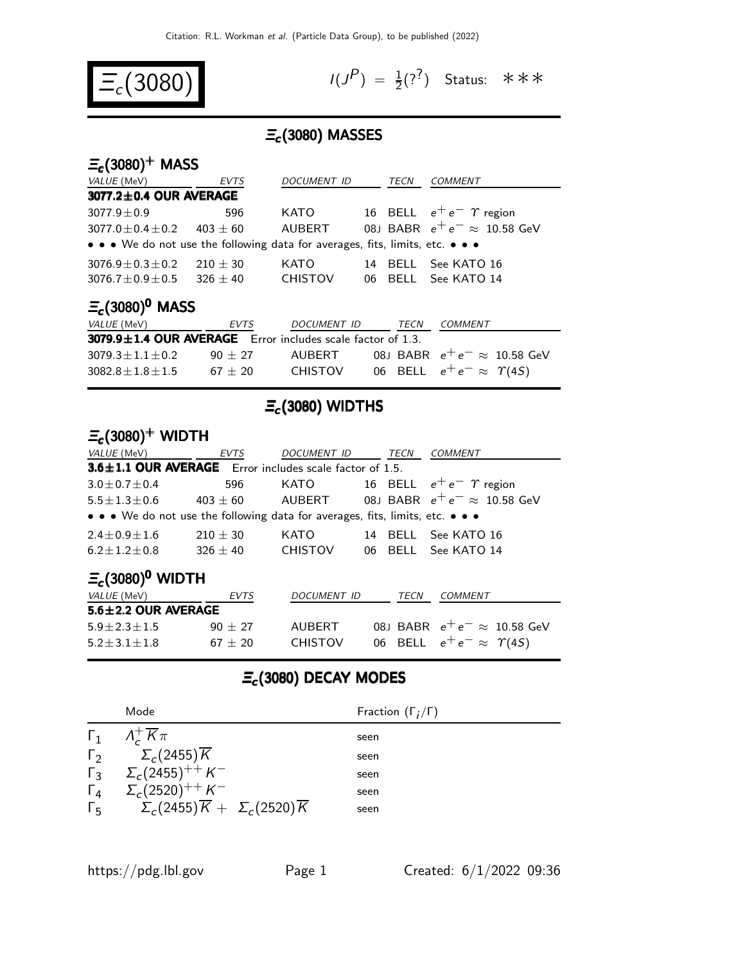

 $(P) = \frac{1}{2}(?^{2})$  Status: \*\*\*

## $\Xi_c$ (3080) MASSES

### $\Xi_c(3080)^+$  MASS

| VALUE (MeV)                                                                   | <b>EVTS</b> | DOCUMENT ID    |    | TECN | <b>COMMENT</b>                      |  |  |
|-------------------------------------------------------------------------------|-------------|----------------|----|------|-------------------------------------|--|--|
| 3077.2±0.4 OUR AVERAGE                                                        |             |                |    |      |                                     |  |  |
| $3077.9 \pm 0.9$                                                              | 596         | KATO           |    |      | 16 BELL $e^+e^ \gamma$ region       |  |  |
| $3077.0 \pm 0.4 \pm 0.2$ 403 $\pm$ 60                                         |             | AUBERT         |    |      | 08J BABR $e^+e^- \approx 10.58$ GeV |  |  |
| • • • We do not use the following data for averages, fits, limits, etc. • • • |             |                |    |      |                                     |  |  |
| $3076.9 \pm 0.3 \pm 0.2$                                                      | $210 + 30$  | KATO           | 14 |      | BELL See KATO 16                    |  |  |
| $3076.7 \pm 0.9 \pm 0.5$                                                      | $326 + 40$  | <b>CHISTOV</b> |    |      | 06 BELL See KATO 14                 |  |  |
| $\Xi_c(3080)^0$ MASS                                                          |             |                |    |      |                                     |  |  |

| $-L1$<br><i>VALUE</i> (MeV)                                      | EVTS      | DOCUMENT ID    | TECN | COMMENT                               |
|------------------------------------------------------------------|-----------|----------------|------|---------------------------------------|
| $3079.9 \pm 1.4$ OUR AVERAGE Error includes scale factor of 1.3. |           |                |      |                                       |
| $3079.3 + 1.1 + 0.2$                                             | $90 + 27$ | AUBERT         |      | 08J BABR $e^+e^- \approx 10.58$ GeV   |
| $3082.8 \pm 1.8 \pm 1.5$                                         | $67 + 20$ | <b>CHISTOV</b> |      | 06 BELL $e^+e^- \approx \Upsilon(4S)$ |

## $E_c$ (3080) WIDTHS

### $\Xi_c(3080)^+$  WIDTH

| <i>VALUE</i> (MeV)                                                            | EVTS         | DOCUMENT ID    |  | TECN | COMMENT                             |  |  |
|-------------------------------------------------------------------------------|--------------|----------------|--|------|-------------------------------------|--|--|
| 3.6±1.1 OUR AVERAGE Error includes scale factor of 1.5.                       |              |                |  |      |                                     |  |  |
| $3.0 \pm 0.7 \pm 0.4$                                                         | 596          | KATO           |  |      | 16 BELL $e^+e^ \gamma$ region       |  |  |
| $5.5 \pm 1.3 \pm 0.6$                                                         | $403 \pm 60$ | AUBERT         |  |      | 08J BABR $e^+e^- \approx 10.58$ GeV |  |  |
| • • • We do not use the following data for averages, fits, limits, etc. • • • |              |                |  |      |                                     |  |  |
| $2.4 \pm 0.9 \pm 1.6$                                                         | $210 \pm 30$ | KATO           |  |      | 14 BELL See KATO 16                 |  |  |
| $6.2 \pm 1.2 \pm 0.8$                                                         | $326 + 40$   | <b>CHISTOV</b> |  |      | 06 BELL See KATO 14                 |  |  |
|                                                                               |              |                |  |      |                                     |  |  |

### $\equiv_c (3080)^0$  WIDTH

| <i>VALUE</i> (MeV)        | EVTS      | DOCUMENT ID    | <i>TECN</i> | <i>COMMENT</i>                        |
|---------------------------|-----------|----------------|-------------|---------------------------------------|
| $5.6 \pm 2.2$ OUR AVERAGE |           |                |             |                                       |
| $5.9 + 2.3 + 1.5$         | $90 + 27$ | AUBERT         |             | 08J BABR $e^+e^- \approx 10.58$ GeV   |
| $5.2 \pm 3.1 \pm 1.8$     | $67 + 20$ | <b>CHISTOV</b> |             | 06 BELL $e^+e^- \approx \Upsilon(4S)$ |

# $\Xi_c$ (3080) DECAY MODES

|            | Mode                                                                 | Fraction $(\Gamma_i/\Gamma)$ |
|------------|----------------------------------------------------------------------|------------------------------|
|            | $\Gamma_1$ $\Lambda_c^+ \overline{K} \pi$                            | seen                         |
|            | $\Gamma_2 \qquad \Sigma_c(2455) \overline{K}$                        | seen                         |
|            | $\Gamma_3$ $\Sigma_c (2455)^{+4} K^-$                                | seen                         |
| $\Gamma_4$ | $\Sigma_c(2520)^{++} K^-$                                            | seen                         |
|            | $\Gamma_5$ $\Sigma_c(2455)\overline{K} + \Sigma_c(2520)\overline{K}$ | seen                         |